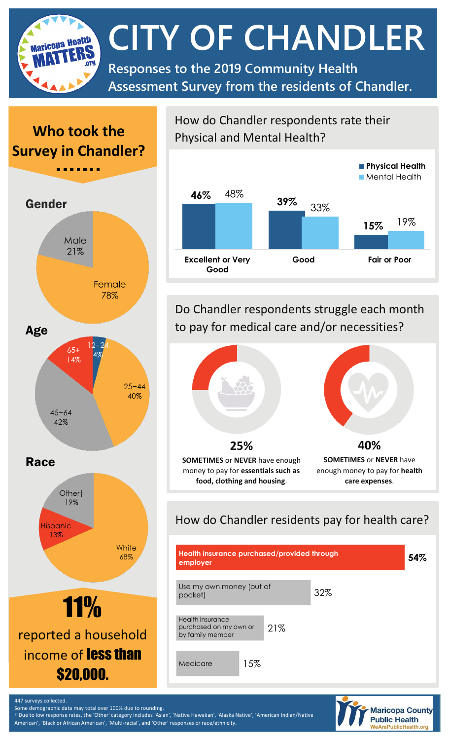**CITY OF CHANDLER** Maricona Health **Responses to the 2019 Community Health Assessment Survey from the residents of Chandler.**

## **Who took the Survey in Chandler?**



# income of **less than** \$20,000.

How do Chandler respondents rate their Physical and Mental Health?



Do Chandler respondents struggle each month to pay for medical care and/or necessities?



## How do Chandler residents pay for health care?





447 surveys collected. Some demographic data may total over 100% due to rounding.

† Due to low response rates, the 'Other' category includes 'Asian', 'Native Hawaiian', 'Alaska Native', 'American Indian/Native American', 'Black or African American', 'Multi-racial', and 'Other' responses or race/ethnicity.